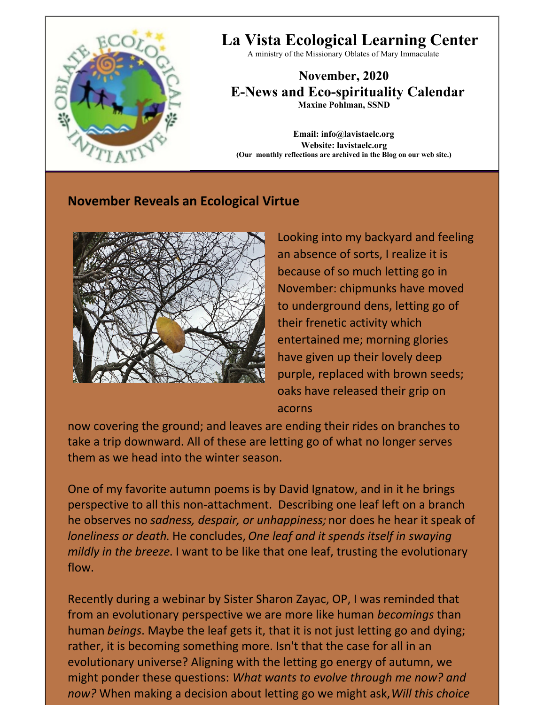

# **La Vista Ecological Learning Center**

A ministry of the Missionary Oblates of Mary Immaculate

**November, 2020 E-News and Eco-spirituality Calendar Maxine Pohlman, SSND**

**Email: info@lavistaelc.org Website: lavistaelc.org (Our monthly reflections are archived in the Blog on our web site.)**

# **November Reveals an Ecological Virtue**



Looking into my backyard and feeling an absence of sorts, I realize it is because of so much letting go in November: chipmunks have moved to underground dens, letting go of their frenetic activity which entertained me; morning glories have given up their lovely deep purple, replaced with brown seeds; oaks have released their grip on acorns

now covering the ground; and leaves are ending their rides on branches to take a trip downward. All of these are letting go of what no longer serves them as we head into the winter season.

One of my favorite autumn poems is by David Ignatow, and in it he brings perspective to all this non-attachment. Describing one leaf left on a branch he observes no *sadness, despair, or unhappiness;* nor does he hear it speak of *loneliness or death*. He concludes, *One leaf and it spends itself in swaying mildly in the breeze*. I want to be like that one leaf, trusting the evolutionary flow.

Recently during a webinar by Sister Sharon Zayac, OP, I was reminded that from an evolutionary perspective we are more like human *becomings* than human *beings*. Maybe the leaf gets it, that it is not just letting go and dying; rather, it is becoming something more. Isn't that the case for all in an evolutionary universe? Aligning with the letting go energy of autumn, we might ponder these questions: *What wants to evolve through me now? and now?* When making a decision about letting go we might ask,*Will this choice*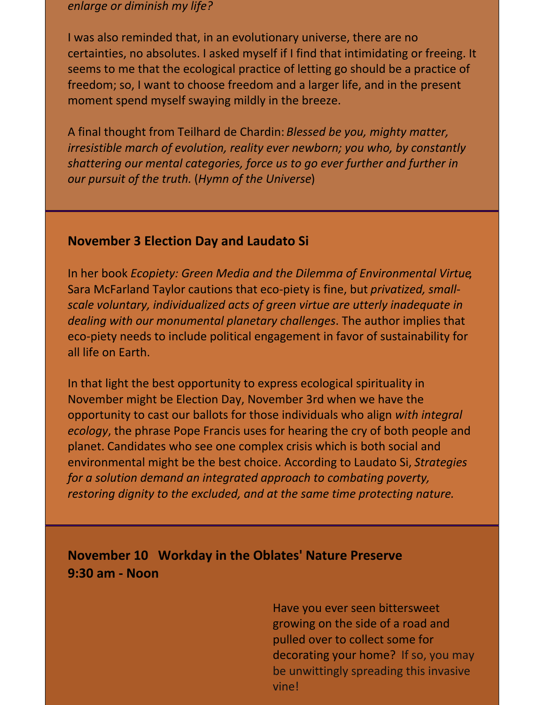#### *enlarge or diminish my life?*

I was also reminded that, in an evolutionary universe, there are no certainties, no absolutes. I asked myself if I find that intimidating or freeing. It seems to me that the ecological practice of letting go should be a practice of freedom; so, I want to choose freedom and a larger life, and in the present moment spend myself swaying mildly in the breeze.

A final thought from Teilhard de Chardin: *Blessed be you, mighty matter, irresistible march of evolution, reality ever newborn; you who, by constantly shattering our mental categories, force us to go ever further and further in our pursuit of the truth.* (*Hymn of the Universe*)

#### **November 3 Election Day and Laudato Si**

In her book *Ecopiety: Green Media and the Dilemma of Environmental Virtue*, Sara McFarland Taylor cautions that eco-piety is fine, but *privatized, smallscale voluntary, individualized acts of green virtue are utterly inadequate in dealing with our monumental planetary challenges*. The author implies that eco-piety needs to include political engagement in favor of sustainability for all life on Earth.

In that light the best opportunity to express ecological spirituality in November might be Election Day, November 3rd when we have the opportunity to cast our ballots for those individuals who align *with integral ecology*, the phrase Pope Francis uses for hearing the cry of both people and planet. Candidates who see one complex crisis which is both social and environmental might be the best choice. According to Laudato Si, *Strategies for a solution demand an integrated approach to combating poverty, restoring dignity to the excluded, and at the same time protecting nature.*

# **November 10 Workday in the Oblates' Nature Preserve 9:30 am - Noon**

Have you ever seen bittersweet growing on the side of a road and pulled over to collect some for decorating your home? If so, you may be unwittingly spreading this invasive vine!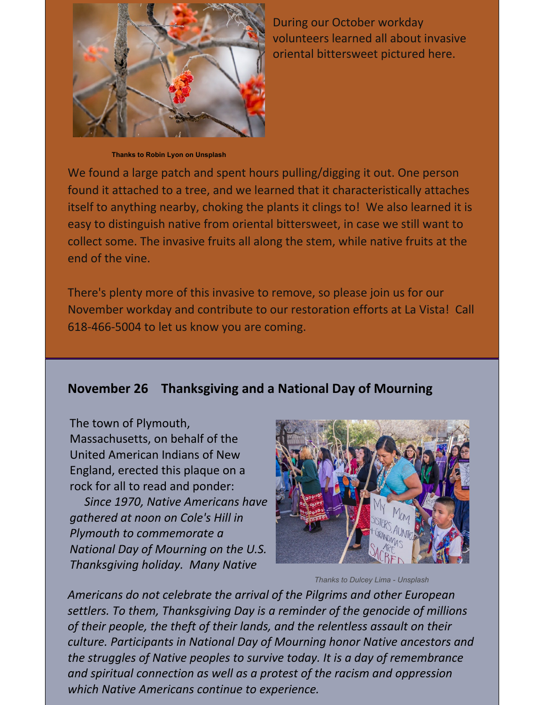

During our October workday volunteers learned all about invasive oriental bittersweet pictured here.

**Thanks to Robin Lyon on Unsplash**

We found a large patch and spent hours pulling/digging it out. One person found it attached to a tree, and we learned that it characteristically attaches itself to anything nearby, choking the plants it clings to! We also learned it is easy to distinguish native from oriental bittersweet, in case we still want to collect some. The invasive fruits all along the stem, while native fruits at the end of the vine.

There's plenty more of this invasive to remove, so please join us for our November workday and contribute to our restoration efforts at La Vista! Call 618-466-5004 to let us know you are coming.

#### **November 26 Thanksgiving and a National Day of Mourning**

The town of Plymouth, Massachusetts, on behalf of the United American Indians of New England, erected this plaque on a rock for all to read and ponder:

*Since 1970, Native Americans have gathered at noon on Cole's Hill in Plymouth to commemorate a National Day of Mourning on the U.S. Thanksgiving holiday. Many Native*



*Thanks to Dulcey Lima - Unsplash*

*Americans do not celebrate the arrival of the Pilgrims and other European settlers. To them, Thanksgiving Day is a reminder of the genocide of millions of their people, the theft of their lands, and the relentless assault on their culture. Participants in National Day of Mourning honor Native ancestors and the struggles of Native peoples to survive today. It is a day of remembrance and spiritual connection as well as a protest of the racism and oppression which Native Americans continue to experience.*